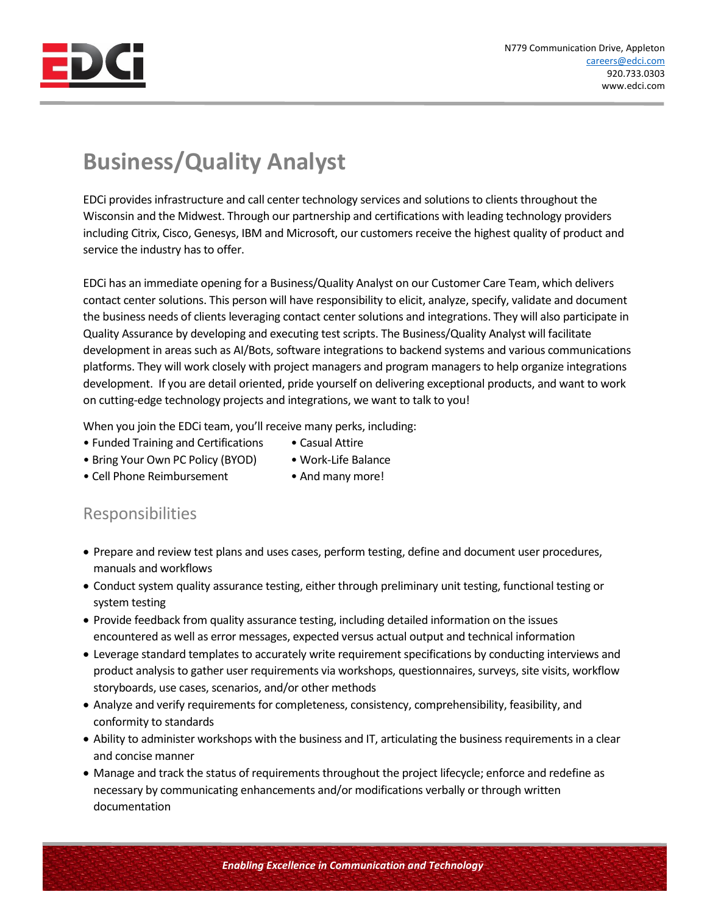

## **Business/Quality Analyst**

EDCi provides infrastructure and call center technology services and solutions to clients throughout the Wisconsin and the Midwest. Through our partnership and certifications with leading technology providers including Citrix, Cisco, Genesys, IBM and Microsoft, our customers receive the highest quality of product and service the industry has to offer.

EDCi has an immediate opening for a Business/Quality Analyst on our Customer Care Team, which delivers contact center solutions. This person will have responsibility to elicit, analyze, specify, validate and document the business needs of clients leveraging contact center solutions and integrations. They will also participate in Quality Assurance by developing and executing test scripts. The Business/Quality Analyst will facilitate development in areas such as AI/Bots, software integrations to backend systems and various communications platforms. They will work closely with project managers and program managers to help organize integrations development. If you are detail oriented, pride yourself on delivering exceptional products, and want to work on cutting-edge technology projects and integrations, we want to talk to you!

When you join the EDCi team, you'll receive many perks, including:

- Funded Training and Certifications Casual Attire
	-
- Bring Your Own PC Policy (BYOD) Work-Life Balance
	-
- Cell Phone Reimbursement And many more!
- 

## Responsibilities

- Prepare and review test plans and uses cases, perform testing, define and document user procedures, manuals and workflows
- Conduct system quality assurance testing, either through preliminary unit testing, functional testing or system testing
- Provide feedback from quality assurance testing, including detailed information on the issues encountered as well as error messages, expected versus actual output and technical information
- Leverage standard templates to accurately write requirement specifications by conducting interviews and product analysis to gather user requirements via workshops, questionnaires, surveys, site visits, workflow storyboards, use cases, scenarios, and/or other methods
- Analyze and verify requirements for completeness, consistency, comprehensibility, feasibility, and conformity to standards
- Ability to administer workshops with the business and IT, articulating the business requirements in a clear and concise manner
- Manage and track the status of requirements throughout the project lifecycle; enforce and redefine as necessary by communicating enhancements and/or modifications verbally or through written documentation